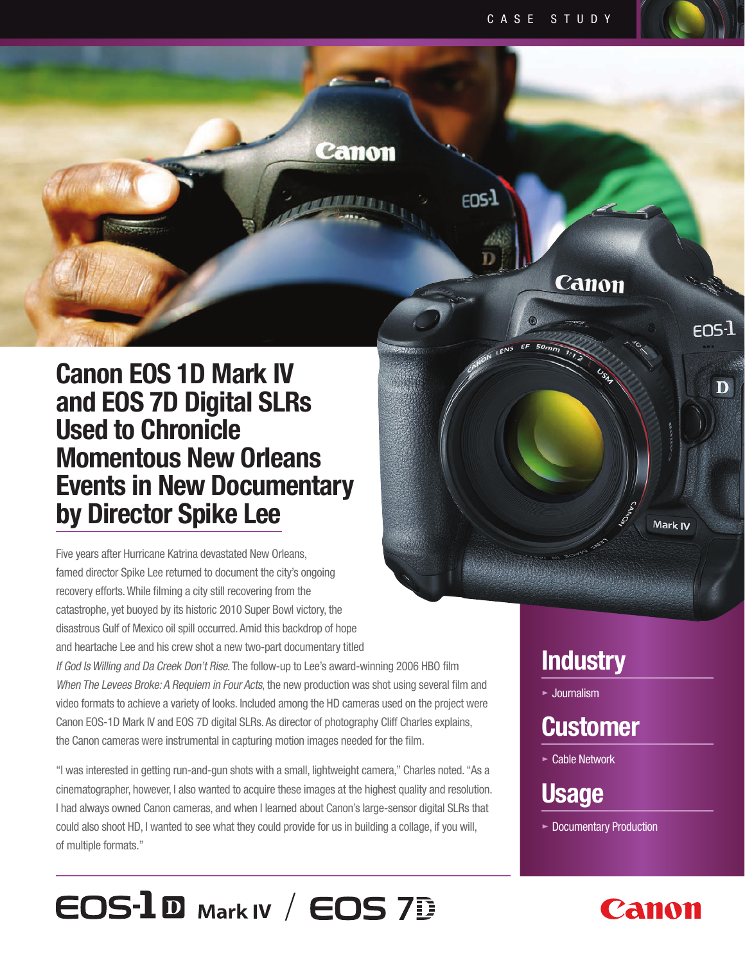EOS-1



Five years after Hurricane Katrina devastated New Orleans, famed director Spike Lee returned to document the city's ongoing recovery efforts. While filming a city still recovering from the catastrophe, yet buoyed by its historic 2010 Super Bowl victory, the disastrous Gulf of Mexico oil spill occurred. Amid this backdrop of hope and heartache Lee and his crew shot a new two-part documentary titled If God Is Willing and Da Creek Don't Rise. The follow-up to Lee's award-winning 2006 HBO film

When The Levees Broke: A Requiem in Four Acts, the new production was shot using several film and video formats to achieve a variety of looks. Included among the HD cameras used on the project were Canon EOS-1D Mark IV and EOS 7D digital SLRs. As director of photography Cliff Charles explains, the Canon cameras were instrumental in capturing motion images needed for the film.

Canon

"I was interested in getting run-and-gun shots with a small, lightweight camera," Charles noted. "As a cinematographer, however, I also wanted to acquire these images at the highest quality and resolution. I had always owned Canon cameras, and when I learned about Canon's large-sensor digital SLRs that could also shoot HD, I wanted to see what they could provide for us in building a collage, if you will, of multiple formats."

 $\epsilon$ **OS-** $\bf{I}$  **<b>D** Mark IV /  $\epsilon$ **OS** 7**D** 

### **Industry**

Canon

 $\tt{f}$ ns- $\tt{I}$ 

 $\mathbf D$ 

Mark IV

**•** Journalism

# **Customer**

**•** Cable Network

# **Usage**

**•** Documentary Production